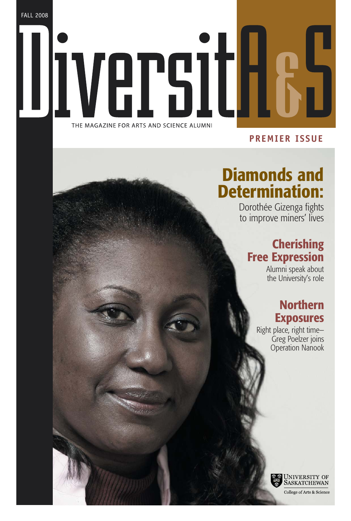FALL 2008

# VA THE MAGAZINE FOR ARTS AND SCIENCE ALUMNI

### **PREMIER ISSUE**

# **Diamonds and Determination:**

Dorothée Gizenga fights to improve miners' lives

## **Cherishing Free Expression**

Alumni speak about the University's role

### **Northern Exposures**

Right place, right time— Greg Poelzer joins Operation Nanook



College of Arts & Science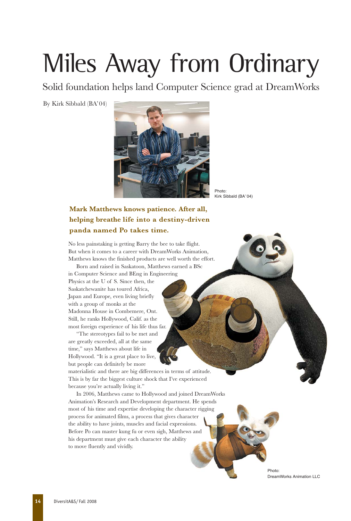# Miles Away from Ordinary

Solid foundation helps land Computer Science grad at DreamWorks

By Kirk Sibbald (BA'04)



Photo: Kirk Sibbald (BA'04)

#### **Mark Matthews knows patience. After all, helping breathe life into a destiny-driven panda named Po takes time.**

No less painstaking is getting Barry the bee to take flight. But when it comes to a career with DreamWorks Animation, Matthews knows the finished products are well worth the effort.

Born and raised in Saskatoon, Matthews earned a BSc in Computer Science and BEng in Engineering Physics at the U of S. Since then, the Saskatchewanite has toured Africa, Japan and Europe, even living briefly with a group of monks at the Madonna House in Combemere, Ont. Still, he ranks Hollywood, Calif. as the most foreign experience of his life thus far.

"The stereotypes fail to be met and are greatly exceeded, all at the same time," says Matthews about life in Hollywood. "It is a great place to live, but people can definitely be more materialistic and there are big differences in terms of attitude. This is by far the biggest culture shock that I've experienced

because you're actually living it."

In 2006, Matthews came to Hollywood and joined DreamWorks Animation's Research and Development department. He spends most of his time and expertise developing the character rigging process for animated films, a process that gives character the ability to have joints, muscles and facial expressions. Before Po can master kung fu or even sigh, Matthews and his department must give each character the ability to move fluently and vividly.

> Photo: DreamWorks Animation LLC